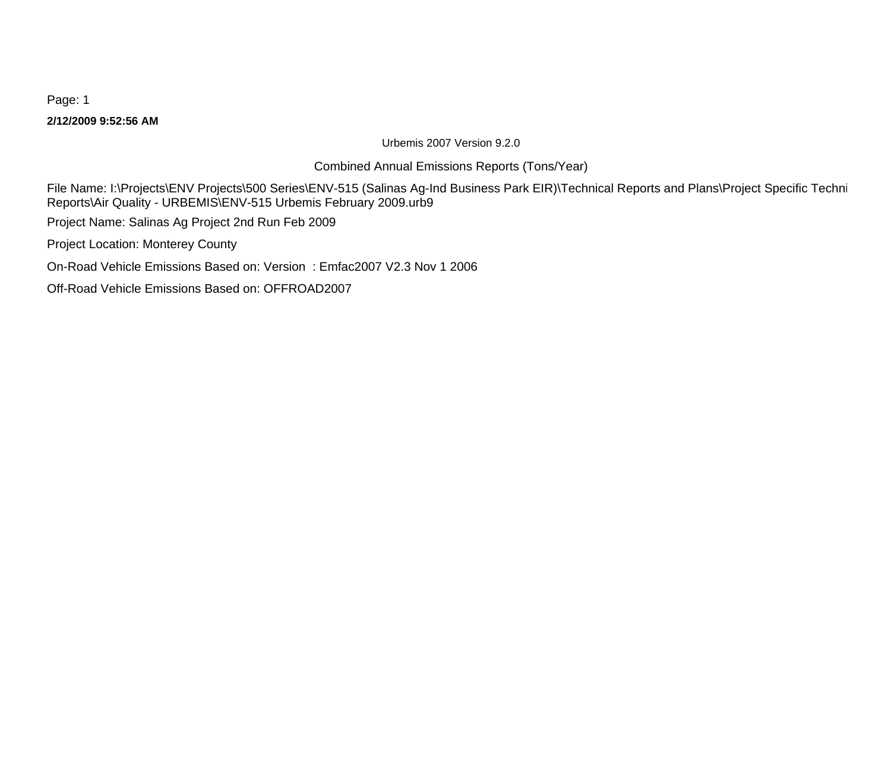#### **2/12/2009 9:52:56 AM**

Urbemis 2007 Version 9.2.0

## Combined Annual Emissions Reports (Tons/Year)

File Name: I:\Projects\ENV Projects\500 Series\ENV-515 (Salinas Ag-Ind Business Park EIR)\Technical Reports and Plans\Project Specific Techni Reports\Air Quality - URBEMIS\ENV-515 Urbemis February 2009.urb9

Project Name: Salinas Ag Project 2nd Run Feb 2009

Project Location: Monterey County

On-Road Vehicle Emissions Based on: Version : Emfac2007 V2.3 Nov 1 2006

Off-Road Vehicle Emissions Based on: OFFROAD2007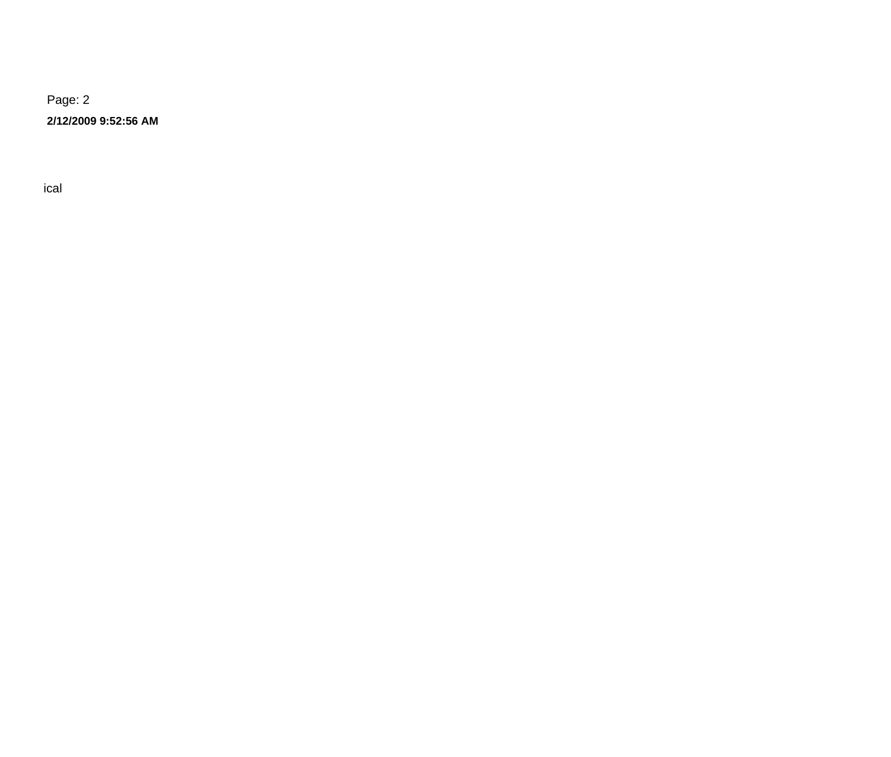**2/12/2009 9:52:56 AM**

 $\Gamma$  -  $\Gamma$  ical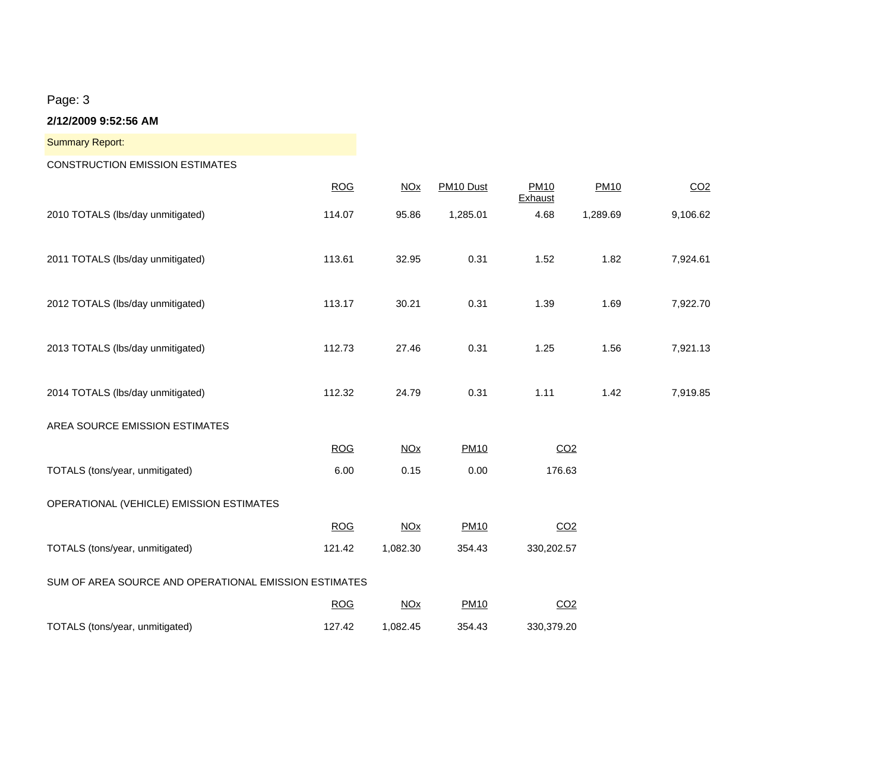**2/12/2009 9:52:56 AM**

CONSTRUCTION EMISSION ESTIMATES

|                                                       | <b>ROG</b> | NOx                   | PM10 Dust   | <b>PM10</b><br>Exhaust | <b>PM10</b> | CO <sub>2</sub> |
|-------------------------------------------------------|------------|-----------------------|-------------|------------------------|-------------|-----------------|
| 2010 TOTALS (lbs/day unmitigated)                     | 114.07     | 95.86                 | 1,285.01    | 4.68                   | 1,289.69    | 9,106.62        |
| 2011 TOTALS (lbs/day unmitigated)                     | 113.61     | 32.95                 | 0.31        | 1.52                   | 1.82        | 7,924.61        |
| 2012 TOTALS (lbs/day unmitigated)                     | 113.17     | 30.21                 | 0.31        | 1.39                   | 1.69        | 7,922.70        |
| 2013 TOTALS (lbs/day unmitigated)                     | 112.73     | 27.46                 | 0.31        | 1.25                   | 1.56        | 7,921.13        |
| 2014 TOTALS (lbs/day unmitigated)                     | 112.32     | 24.79                 | 0.31        | 1.11                   | 1.42        | 7,919.85        |
| AREA SOURCE EMISSION ESTIMATES                        |            |                       |             |                        |             |                 |
|                                                       | <b>ROG</b> | <b>NO<sub>X</sub></b> | <b>PM10</b> | CO <sub>2</sub>        |             |                 |
| TOTALS (tons/year, unmitigated)                       | 6.00       | 0.15                  | 0.00        | 176.63                 |             |                 |
| OPERATIONAL (VEHICLE) EMISSION ESTIMATES              |            |                       |             |                        |             |                 |
|                                                       | <b>ROG</b> | <b>NOx</b>            | <b>PM10</b> | CO <sub>2</sub>        |             |                 |
| TOTALS (tons/year, unmitigated)                       | 121.42     | 1,082.30              | 354.43      | 330,202.57             |             |                 |
| SUM OF AREA SOURCE AND OPERATIONAL EMISSION ESTIMATES |            |                       |             |                        |             |                 |
|                                                       | <b>ROG</b> | <b>NO<sub>X</sub></b> | <b>PM10</b> | CO <sub>2</sub>        |             |                 |
| TOTALS (tons/year, unmitigated)                       | 127.42     | 1,082.45              | 354.43      | 330,379.20             |             |                 |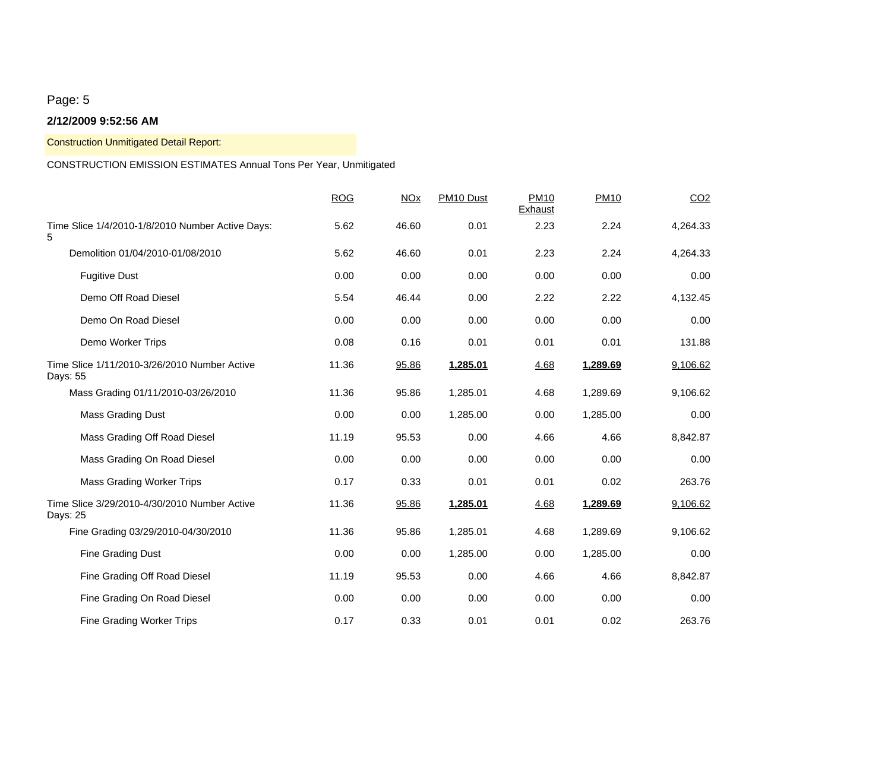#### **2/12/2009 9:52:56 AM**

Construction Unmitigated Detail Report:

## CONSTRUCTION EMISSION ESTIMATES Annual Tons Per Year, Unmitigated

|                                                          | <b>ROG</b> | <b>NOx</b> | PM10 Dust | <b>PM10</b><br>Exhaust | <b>PM10</b> | CO <sub>2</sub> |
|----------------------------------------------------------|------------|------------|-----------|------------------------|-------------|-----------------|
| Time Slice 1/4/2010-1/8/2010 Number Active Days:<br>5    | 5.62       | 46.60      | 0.01      | 2.23                   | 2.24        | 4,264.33        |
| Demolition 01/04/2010-01/08/2010                         | 5.62       | 46.60      | 0.01      | 2.23                   | 2.24        | 4,264.33        |
| <b>Fugitive Dust</b>                                     | 0.00       | 0.00       | 0.00      | 0.00                   | 0.00        | 0.00            |
| Demo Off Road Diesel                                     | 5.54       | 46.44      | 0.00      | 2.22                   | 2.22        | 4,132.45        |
| Demo On Road Diesel                                      | 0.00       | 0.00       | 0.00      | 0.00                   | 0.00        | 0.00            |
| Demo Worker Trips                                        | 0.08       | 0.16       | 0.01      | 0.01                   | 0.01        | 131.88          |
| Time Slice 1/11/2010-3/26/2010 Number Active<br>Days: 55 | 11.36      | 95.86      | 1,285.01  | 4.68                   | 1,289.69    | 9,106.62        |
| Mass Grading 01/11/2010-03/26/2010                       | 11.36      | 95.86      | 1,285.01  | 4.68                   | 1,289.69    | 9,106.62        |
| <b>Mass Grading Dust</b>                                 | 0.00       | 0.00       | 1,285.00  | 0.00                   | 1,285.00    | 0.00            |
| Mass Grading Off Road Diesel                             | 11.19      | 95.53      | 0.00      | 4.66                   | 4.66        | 8,842.87        |
| Mass Grading On Road Diesel                              | 0.00       | 0.00       | 0.00      | 0.00                   | 0.00        | 0.00            |
| <b>Mass Grading Worker Trips</b>                         | 0.17       | 0.33       | 0.01      | 0.01                   | 0.02        | 263.76          |
| Time Slice 3/29/2010-4/30/2010 Number Active<br>Days: 25 | 11.36      | 95.86      | 1,285.01  | 4.68                   | 1,289.69    | 9,106.62        |
| Fine Grading 03/29/2010-04/30/2010                       | 11.36      | 95.86      | 1,285.01  | 4.68                   | 1,289.69    | 9,106.62        |
| Fine Grading Dust                                        | 0.00       | 0.00       | 1,285.00  | 0.00                   | 1,285.00    | 0.00            |
| Fine Grading Off Road Diesel                             | 11.19      | 95.53      | 0.00      | 4.66                   | 4.66        | 8,842.87        |
| Fine Grading On Road Diesel                              | 0.00       | 0.00       | 0.00      | 0.00                   | 0.00        | 0.00            |
| Fine Grading Worker Trips                                | 0.17       | 0.33       | 0.01      | 0.01                   | 0.02        | 263.76          |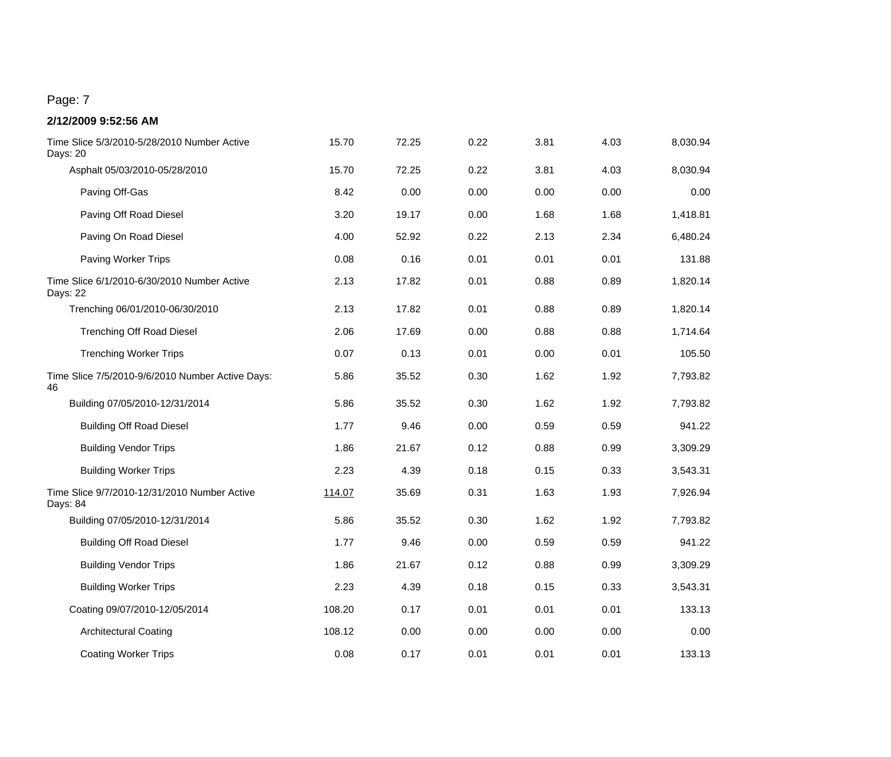| Time Slice 5/3/2010-5/28/2010 Number Active<br>Days: 20  | 15.70  | 72.25 | 0.22 | 3.81 | 4.03 | 8,030.94 |
|----------------------------------------------------------|--------|-------|------|------|------|----------|
| Asphalt 05/03/2010-05/28/2010                            | 15.70  | 72.25 | 0.22 | 3.81 | 4.03 | 8,030.94 |
| Paving Off-Gas                                           | 8.42   | 0.00  | 0.00 | 0.00 | 0.00 | 0.00     |
| Paving Off Road Diesel                                   | 3.20   | 19.17 | 0.00 | 1.68 | 1.68 | 1,418.81 |
| Paving On Road Diesel                                    | 4.00   | 52.92 | 0.22 | 2.13 | 2.34 | 6,480.24 |
| Paving Worker Trips                                      | 0.08   | 0.16  | 0.01 | 0.01 | 0.01 | 131.88   |
| Time Slice 6/1/2010-6/30/2010 Number Active<br>Days: 22  | 2.13   | 17.82 | 0.01 | 0.88 | 0.89 | 1,820.14 |
| Trenching 06/01/2010-06/30/2010                          | 2.13   | 17.82 | 0.01 | 0.88 | 0.89 | 1,820.14 |
| <b>Trenching Off Road Diesel</b>                         | 2.06   | 17.69 | 0.00 | 0.88 | 0.88 | 1,714.64 |
| <b>Trenching Worker Trips</b>                            | 0.07   | 0.13  | 0.01 | 0.00 | 0.01 | 105.50   |
| Time Slice 7/5/2010-9/6/2010 Number Active Days:<br>46   | 5.86   | 35.52 | 0.30 | 1.62 | 1.92 | 7,793.82 |
| Building 07/05/2010-12/31/2014                           | 5.86   | 35.52 | 0.30 | 1.62 | 1.92 | 7,793.82 |
| <b>Building Off Road Diesel</b>                          | 1.77   | 9.46  | 0.00 | 0.59 | 0.59 | 941.22   |
| <b>Building Vendor Trips</b>                             | 1.86   | 21.67 | 0.12 | 0.88 | 0.99 | 3,309.29 |
| <b>Building Worker Trips</b>                             | 2.23   | 4.39  | 0.18 | 0.15 | 0.33 | 3,543.31 |
| Time Slice 9/7/2010-12/31/2010 Number Active<br>Days: 84 | 114.07 | 35.69 | 0.31 | 1.63 | 1.93 | 7,926.94 |
| Building 07/05/2010-12/31/2014                           | 5.86   | 35.52 | 0.30 | 1.62 | 1.92 | 7,793.82 |
| <b>Building Off Road Diesel</b>                          | 1.77   | 9.46  | 0.00 | 0.59 | 0.59 | 941.22   |
| <b>Building Vendor Trips</b>                             | 1.86   | 21.67 | 0.12 | 0.88 | 0.99 | 3,309.29 |
| <b>Building Worker Trips</b>                             | 2.23   | 4.39  | 0.18 | 0.15 | 0.33 | 3,543.31 |
| Coating 09/07/2010-12/05/2014                            | 108.20 | 0.17  | 0.01 | 0.01 | 0.01 | 133.13   |
| <b>Architectural Coating</b>                             | 108.12 | 0.00  | 0.00 | 0.00 | 0.00 | 0.00     |
| <b>Coating Worker Trips</b>                              | 0.08   | 0.17  | 0.01 | 0.01 | 0.01 | 133.13   |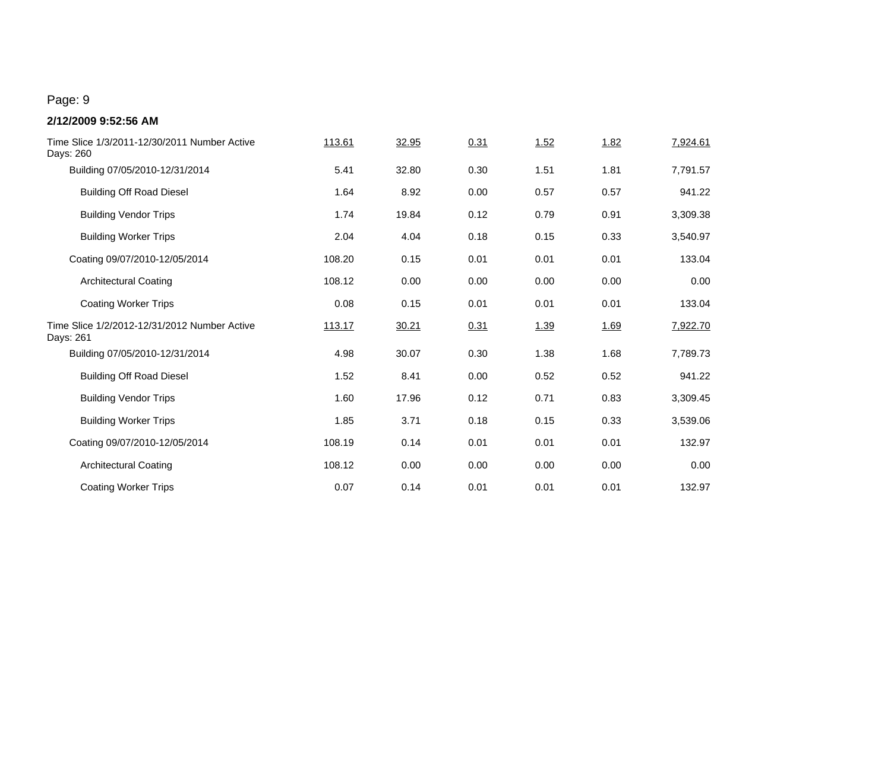| Time Slice 1/3/2011-12/30/2011 Number Active<br>Days: 260 | 113.61 | 32.95 | 0.31 | 1.52 | 1.82 | 7,924.61 |
|-----------------------------------------------------------|--------|-------|------|------|------|----------|
| Building 07/05/2010-12/31/2014                            | 5.41   | 32.80 | 0.30 | 1.51 | 1.81 | 7,791.57 |
| <b>Building Off Road Diesel</b>                           | 1.64   | 8.92  | 0.00 | 0.57 | 0.57 | 941.22   |
| <b>Building Vendor Trips</b>                              | 1.74   | 19.84 | 0.12 | 0.79 | 0.91 | 3,309.38 |
| <b>Building Worker Trips</b>                              | 2.04   | 4.04  | 0.18 | 0.15 | 0.33 | 3,540.97 |
| Coating 09/07/2010-12/05/2014                             | 108.20 | 0.15  | 0.01 | 0.01 | 0.01 | 133.04   |
| <b>Architectural Coating</b>                              | 108.12 | 0.00  | 0.00 | 0.00 | 0.00 | 0.00     |
| <b>Coating Worker Trips</b>                               | 0.08   | 0.15  | 0.01 | 0.01 | 0.01 | 133.04   |
| Time Slice 1/2/2012-12/31/2012 Number Active<br>Days: 261 | 113.17 | 30.21 | 0.31 | 1.39 | 1.69 | 7,922.70 |
| Building 07/05/2010-12/31/2014                            | 4.98   | 30.07 | 0.30 | 1.38 | 1.68 | 7,789.73 |
| <b>Building Off Road Diesel</b>                           | 1.52   | 8.41  | 0.00 | 0.52 | 0.52 | 941.22   |
| <b>Building Vendor Trips</b>                              | 1.60   | 17.96 | 0.12 | 0.71 | 0.83 | 3,309.45 |
| <b>Building Worker Trips</b>                              | 1.85   | 3.71  | 0.18 | 0.15 | 0.33 | 3,539.06 |
| Coating 09/07/2010-12/05/2014                             | 108.19 | 0.14  | 0.01 | 0.01 | 0.01 | 132.97   |
| <b>Architectural Coating</b>                              | 108.12 | 0.00  | 0.00 | 0.00 | 0.00 | 0.00     |
| <b>Coating Worker Trips</b>                               | 0.07   | 0.14  | 0.01 | 0.01 | 0.01 | 132.97   |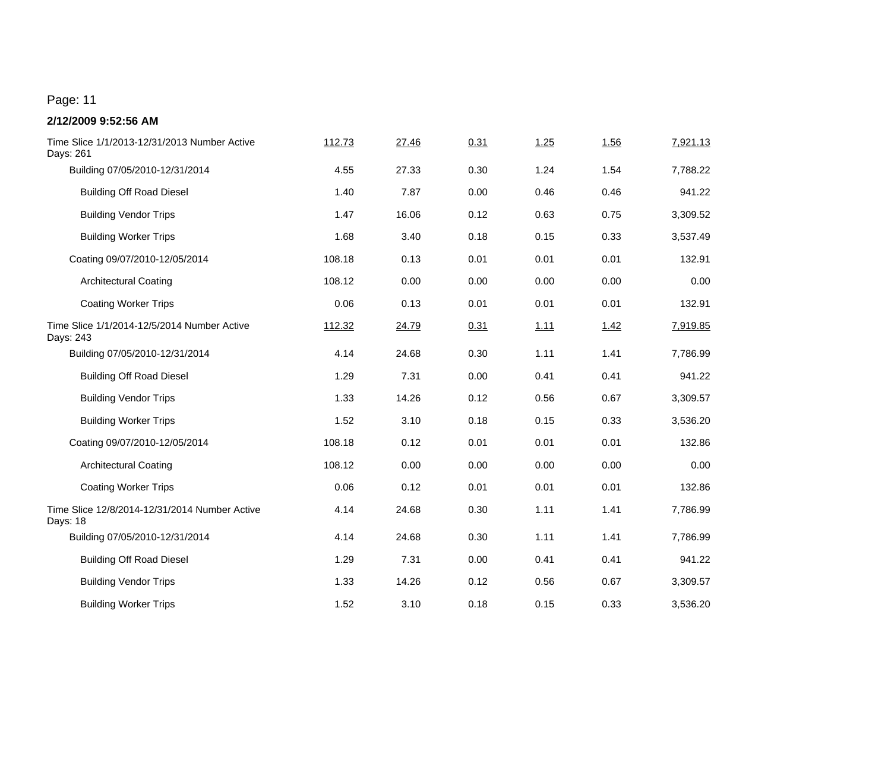| Time Slice 1/1/2013-12/31/2013 Number Active<br>Days: 261 | 112.73 | 27.46 | 0.31 | 1.25        | 1.56 | 7,921.13 |
|-----------------------------------------------------------|--------|-------|------|-------------|------|----------|
| Building 07/05/2010-12/31/2014                            | 4.55   | 27.33 | 0.30 | 1.24        | 1.54 | 7,788.22 |
| <b>Building Off Road Diesel</b>                           | 1.40   | 7.87  | 0.00 | 0.46        | 0.46 | 941.22   |
| <b>Building Vendor Trips</b>                              | 1.47   | 16.06 | 0.12 | 0.63        | 0.75 | 3,309.52 |
| <b>Building Worker Trips</b>                              | 1.68   | 3.40  | 0.18 | 0.15        | 0.33 | 3,537.49 |
| Coating 09/07/2010-12/05/2014                             | 108.18 | 0.13  | 0.01 | 0.01        | 0.01 | 132.91   |
| <b>Architectural Coating</b>                              | 108.12 | 0.00  | 0.00 | 0.00        | 0.00 | 0.00     |
| <b>Coating Worker Trips</b>                               | 0.06   | 0.13  | 0.01 | 0.01        | 0.01 | 132.91   |
| Time Slice 1/1/2014-12/5/2014 Number Active<br>Days: 243  | 112.32 | 24.79 | 0.31 | <u>1.11</u> | 1.42 | 7,919.85 |
| Building 07/05/2010-12/31/2014                            | 4.14   | 24.68 | 0.30 | 1.11        | 1.41 | 7,786.99 |
| <b>Building Off Road Diesel</b>                           | 1.29   | 7.31  | 0.00 | 0.41        | 0.41 | 941.22   |
| <b>Building Vendor Trips</b>                              | 1.33   | 14.26 | 0.12 | 0.56        | 0.67 | 3,309.57 |
| <b>Building Worker Trips</b>                              | 1.52   | 3.10  | 0.18 | 0.15        | 0.33 | 3,536.20 |
| Coating 09/07/2010-12/05/2014                             | 108.18 | 0.12  | 0.01 | 0.01        | 0.01 | 132.86   |
| <b>Architectural Coating</b>                              | 108.12 | 0.00  | 0.00 | 0.00        | 0.00 | 0.00     |
| <b>Coating Worker Trips</b>                               | 0.06   | 0.12  | 0.01 | 0.01        | 0.01 | 132.86   |
| Time Slice 12/8/2014-12/31/2014 Number Active<br>Days: 18 | 4.14   | 24.68 | 0.30 | 1.11        | 1.41 | 7,786.99 |
| Building 07/05/2010-12/31/2014                            | 4.14   | 24.68 | 0.30 | 1.11        | 1.41 | 7,786.99 |
| <b>Building Off Road Diesel</b>                           | 1.29   | 7.31  | 0.00 | 0.41        | 0.41 | 941.22   |
| <b>Building Vendor Trips</b>                              | 1.33   | 14.26 | 0.12 | 0.56        | 0.67 | 3,309.57 |
| <b>Building Worker Trips</b>                              | 1.52   | 3.10  | 0.18 | 0.15        | 0.33 | 3,536.20 |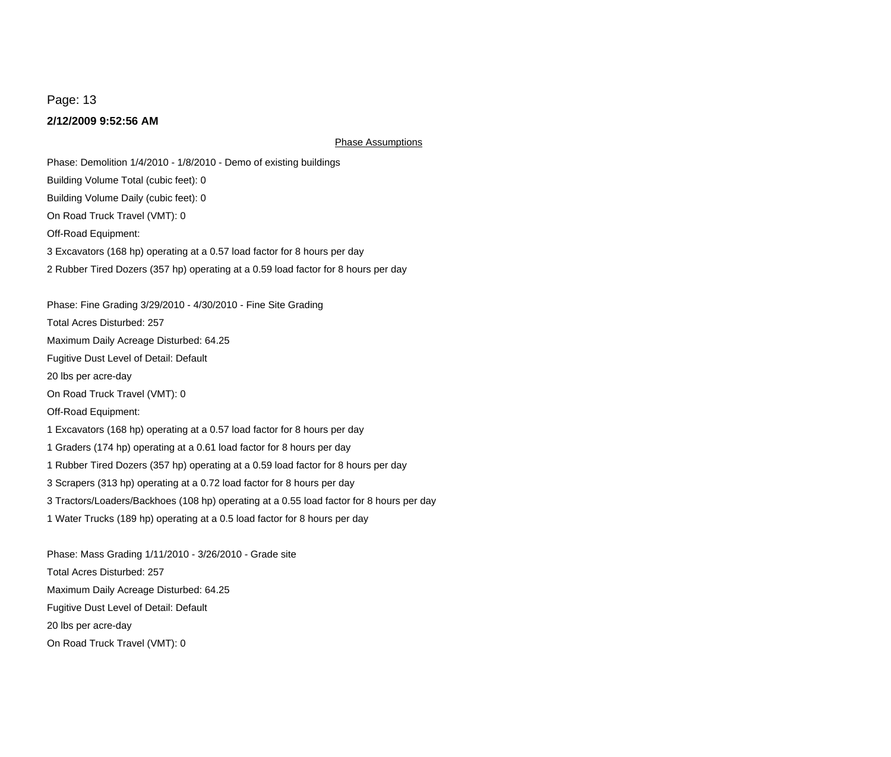#### **2/12/2009 9:52:56 AM**

Phase Assumptions

Off-Road Equipment: On Road Truck Travel (VMT): 0 2 Rubber Tired Dozers (357 hp) operating at a 0.59 load factor for 8 hours per day 3 Excavators (168 hp) operating at a 0.57 load factor for 8 hours per day Phase: Demolition 1/4/2010 - 1/8/2010 - Demo of existing buildings Building Volume Daily (cubic feet): 0 Building Volume Total (cubic feet): 0

Phase: Fine Grading 3/29/2010 - 4/30/2010 - Fine Site Grading

Total Acres Disturbed: 257

Maximum Daily Acreage Disturbed: 64.25

Fugitive Dust Level of Detail: Default

20 lbs per acre-day

On Road Truck Travel (VMT): 0

Off-Road Equipment:

1 Excavators (168 hp) operating at a 0.57 load factor for 8 hours per day

1 Graders (174 hp) operating at a 0.61 load factor for 8 hours per day

1 Rubber Tired Dozers (357 hp) operating at a 0.59 load factor for 8 hours per day

3 Scrapers (313 hp) operating at a 0.72 load factor for 8 hours per day

3 Tractors/Loaders/Backhoes (108 hp) operating at a 0.55 load factor for 8 hours per day

1 Water Trucks (189 hp) operating at a 0.5 load factor for 8 hours per day

Phase: Mass Grading 1/11/2010 - 3/26/2010 - Grade site On Road Truck Travel (VMT): 0 Maximum Daily Acreage Disturbed: 64.25 Total Acres Disturbed: 257 20 lbs per acre-day Fugitive Dust Level of Detail: Default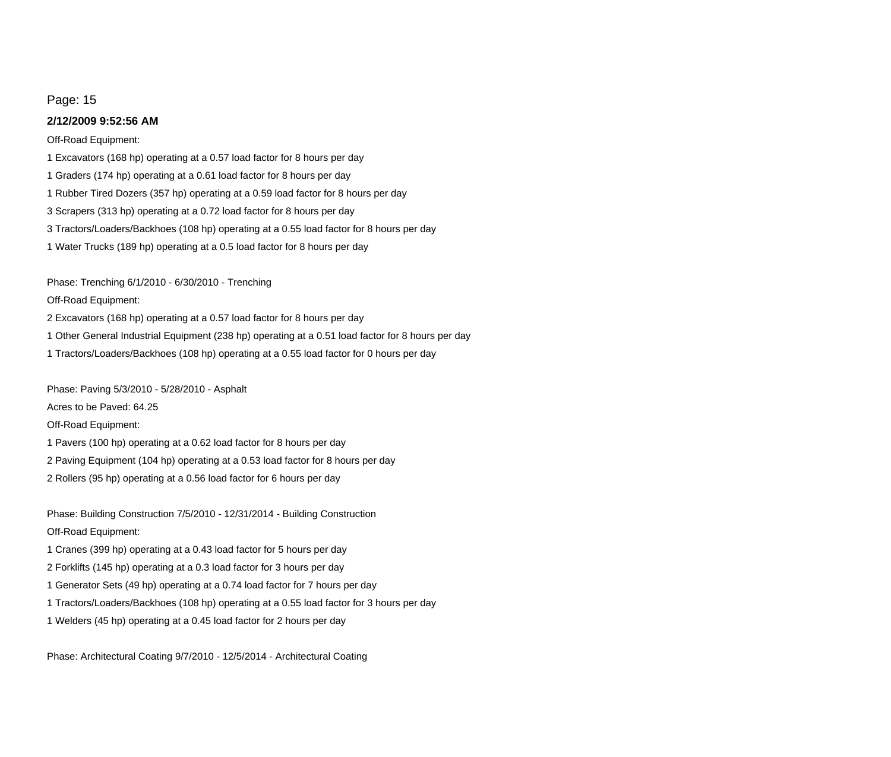#### **2/12/2009 9:52:56 AM**

#### Off-Road Equipment:

3 Tractors/Loaders/Backhoes (108 hp) operating at a 0.55 load factor for 8 hours per day 3 Scrapers (313 hp) operating at a 0.72 load factor for 8 hours per day 1 Water Trucks (189 hp) operating at a 0.5 load factor for 8 hours per day 1 Excavators (168 hp) operating at a 0.57 load factor for 8 hours per day 1 Rubber Tired Dozers (357 hp) operating at a 0.59 load factor for 8 hours per day 1 Graders (174 hp) operating at a 0.61 load factor for 8 hours per day

Phase: Trenching 6/1/2010 - 6/30/2010 - Trenching

#### Off-Road Equipment:

2 Excavators (168 hp) operating at a 0.57 load factor for 8 hours per day

1 Other General Industrial Equipment (238 hp) operating at a 0.51 load factor for 8 hours per day

1 Tractors/Loaders/Backhoes (108 hp) operating at a 0.55 load factor for 0 hours per day

Phase: Paving 5/3/2010 - 5/28/2010 - Asphalt

Acres to be Paved: 64.25

Off-Road Equipment:

1 Pavers (100 hp) operating at a 0.62 load factor for 8 hours per day

2 Paving Equipment (104 hp) operating at a 0.53 load factor for 8 hours per day

2 Rollers (95 hp) operating at a 0.56 load factor for 6 hours per day

Phase: Building Construction 7/5/2010 - 12/31/2014 - Building Construction Off-Road Equipment:

1 Cranes (399 hp) operating at a 0.43 load factor for 5 hours per day

- 2 Forklifts (145 hp) operating at a 0.3 load factor for 3 hours per day
- 1 Generator Sets (49 hp) operating at a 0.74 load factor for 7 hours per day
- 1 Tractors/Loaders/Backhoes (108 hp) operating at a 0.55 load factor for 3 hours per day
- 1 Welders (45 hp) operating at a 0.45 load factor for 2 hours per day

Phase: Architectural Coating 9/7/2010 - 12/5/2014 - Architectural Coating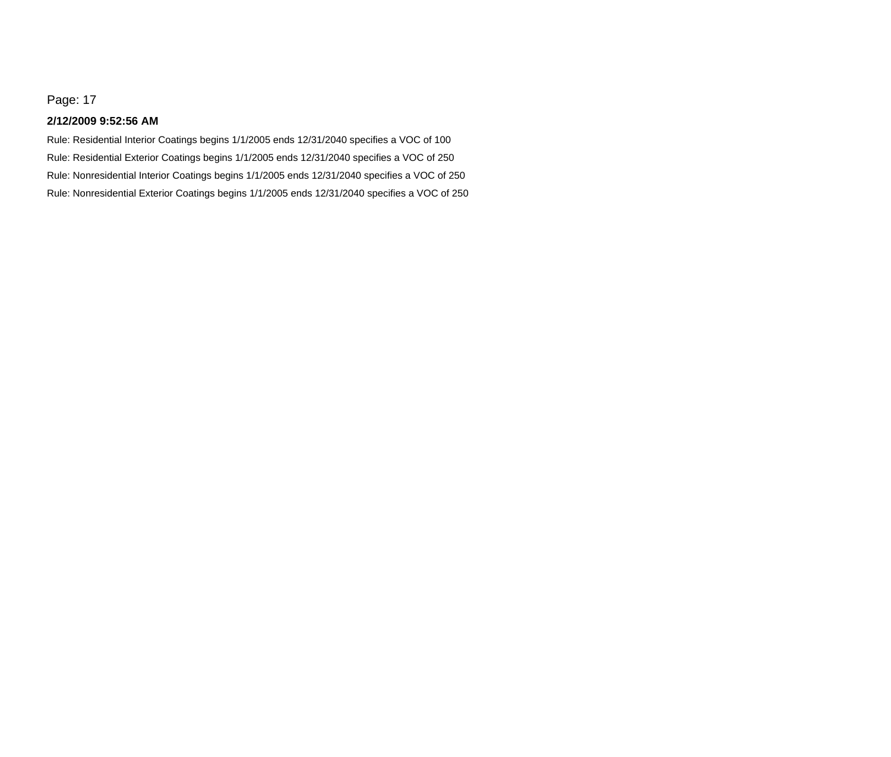#### **2/12/2009 9:52:56 AM**

Rule: Nonresidential Exterior Coatings begins 1/1/2005 ends 12/31/2040 specifies a VOC of 250 Rule: Nonresidential Interior Coatings begins 1/1/2005 ends 12/31/2040 specifies a VOC of 250 Rule: Residential Interior Coatings begins 1/1/2005 ends 12/31/2040 specifies a VOC of 100 Rule: Residential Exterior Coatings begins 1/1/2005 ends 12/31/2040 specifies a VOC of 250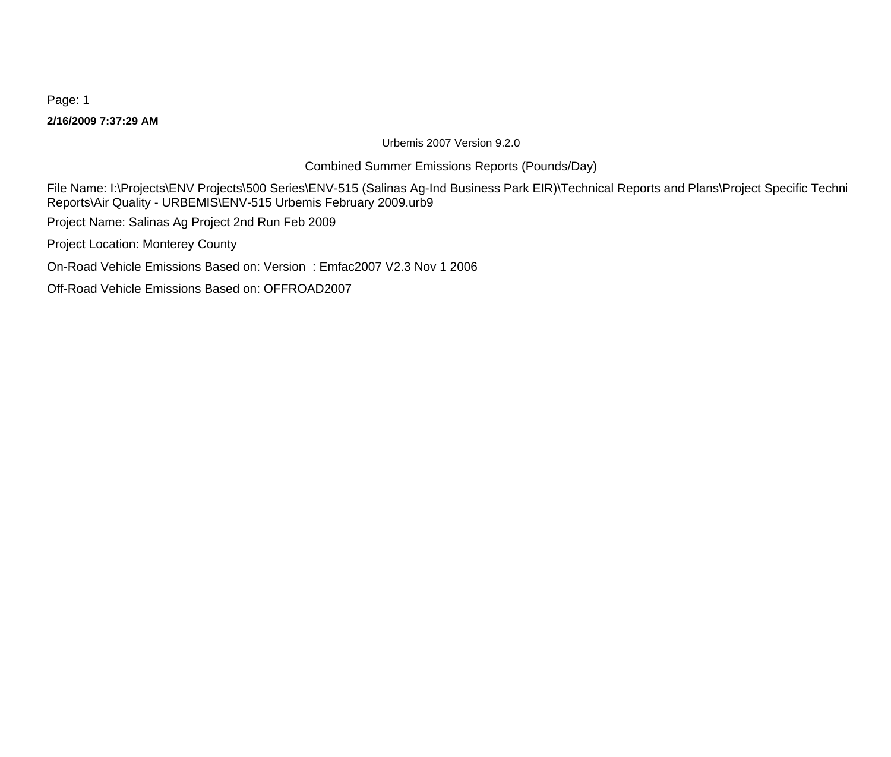**2/16/2009 7:37:29 AM** Page: 1

Urbemis 2007 Version 9.2.0

Combined Summer Emissions Reports (Pounds/Day)

File Name: I:\Projects\ENV Projects\500 Series\ENV-515 (Salinas Ag-Ind Business Park EIR)\Technical Reports and Plans\Project Specific Techni Reports\Air Quality - URBEMIS\ENV-515 Urbemis February 2009.urb9

Project Name: Salinas Ag Project 2nd Run Feb 2009

Project Location: Monterey County

On-Road Vehicle Emissions Based on: Version : Emfac2007 V2.3 Nov 1 2006

Off-Road Vehicle Emissions Based on: OFFROAD2007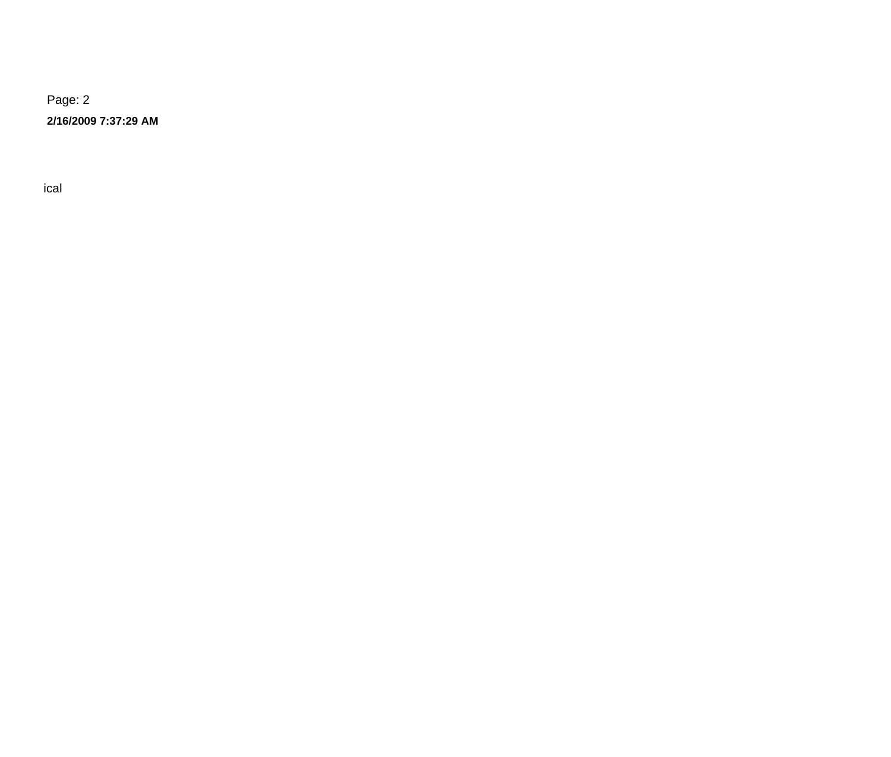**2/16/2009 7:37:29 AM**

 $\Gamma$  -  $\Gamma$  ical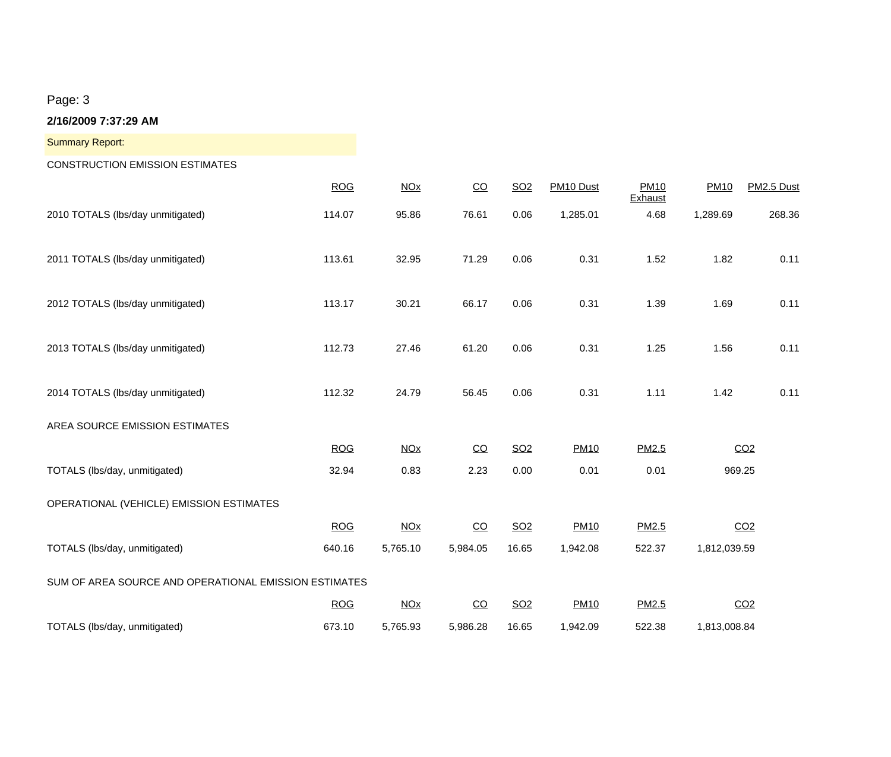| <b>Summary Report:</b>                                |            |                       |                 |                 |             |                        |              |                 |
|-------------------------------------------------------|------------|-----------------------|-----------------|-----------------|-------------|------------------------|--------------|-----------------|
| <b>CONSTRUCTION EMISSION ESTIMATES</b>                |            |                       |                 |                 |             |                        |              |                 |
|                                                       | <b>ROG</b> | <b>NO<sub>X</sub></b> | $\overline{CO}$ | SO <sub>2</sub> | PM10 Dust   | <b>PM10</b><br>Exhaust | <b>PM10</b>  | PM2.5 Dust      |
| 2010 TOTALS (lbs/day unmitigated)                     | 114.07     | 95.86                 | 76.61           | 0.06            | 1,285.01    | 4.68                   | 1,289.69     | 268.36          |
| 2011 TOTALS (lbs/day unmitigated)                     | 113.61     | 32.95                 | 71.29           | 0.06            | 0.31        | 1.52                   | 1.82         | 0.11            |
| 2012 TOTALS (lbs/day unmitigated)                     | 113.17     | 30.21                 | 66.17           | 0.06            | 0.31        | 1.39                   | 1.69         | 0.11            |
| 2013 TOTALS (lbs/day unmitigated)                     | 112.73     | 27.46                 | 61.20           | 0.06            | 0.31        | 1.25                   | 1.56         | 0.11            |
| 2014 TOTALS (lbs/day unmitigated)                     | 112.32     | 24.79                 | 56.45           | 0.06            | 0.31        | 1.11                   | 1.42         | 0.11            |
| AREA SOURCE EMISSION ESTIMATES                        |            |                       |                 |                 |             |                        |              |                 |
|                                                       | <b>ROG</b> | NOx                   | $\overline{CO}$ | SO <sub>2</sub> | <b>PM10</b> | PM2.5                  |              | CO <sub>2</sub> |
| TOTALS (lbs/day, unmitigated)                         | 32.94      | 0.83                  | 2.23            | 0.00            | 0.01        | 0.01                   | 969.25       |                 |
| OPERATIONAL (VEHICLE) EMISSION ESTIMATES              |            |                       |                 |                 |             |                        |              |                 |
|                                                       | <b>ROG</b> | <b>NOx</b>            | $\overline{CO}$ | SO <sub>2</sub> | <b>PM10</b> | PM2.5                  |              | CO <sub>2</sub> |
| TOTALS (Ibs/day, unmitigated)                         | 640.16     | 5,765.10              | 5,984.05        | 16.65           | 1,942.08    | 522.37                 | 1,812,039.59 |                 |
| SUM OF AREA SOURCE AND OPERATIONAL EMISSION ESTIMATES |            |                       |                 |                 |             |                        |              |                 |
|                                                       | <b>ROG</b> | <b>NO<sub>X</sub></b> | $\overline{CO}$ | SO <sub>2</sub> | <b>PM10</b> | PM2.5                  |              | CO <sub>2</sub> |
| TOTALS (lbs/day, unmitigated)                         | 673.10     | 5,765.93              | 5,986.28        | 16.65           | 1,942.09    | 522.38                 | 1,813,008.84 |                 |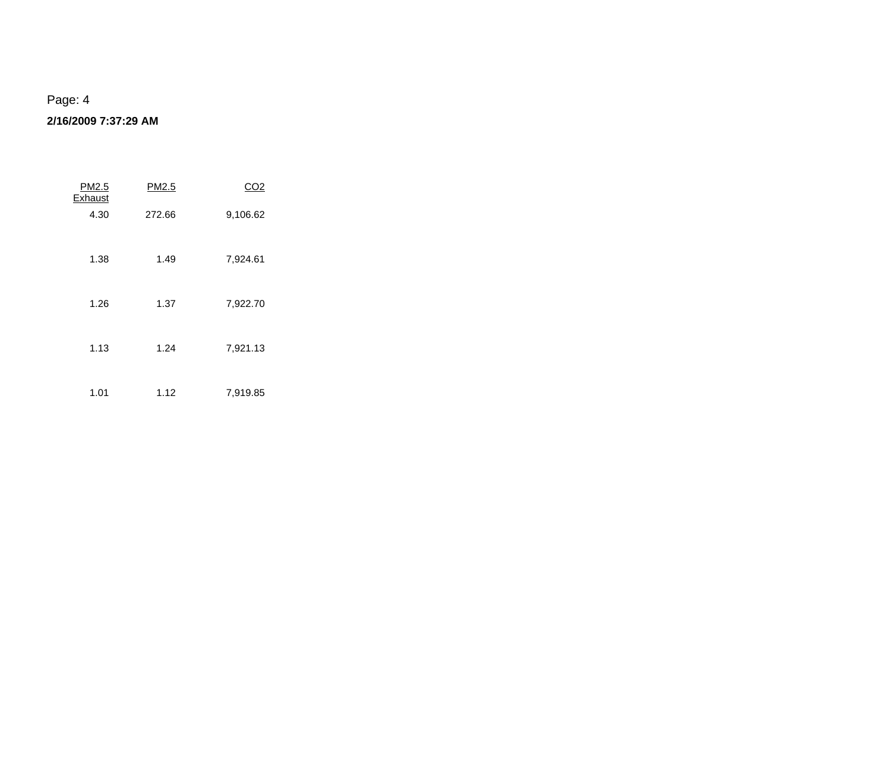| PM2.5<br>Exhaust | PM2.5  | CO2      |
|------------------|--------|----------|
| 4.30             | 272.66 | 9,106.62 |
| 1.38             | 1.49   | 7,924.61 |
| 1.26             | 1.37   | 7,922.70 |
| 1.13             | 1.24   | 7,921.13 |
| 1.01             | 1.12   | 7,919.85 |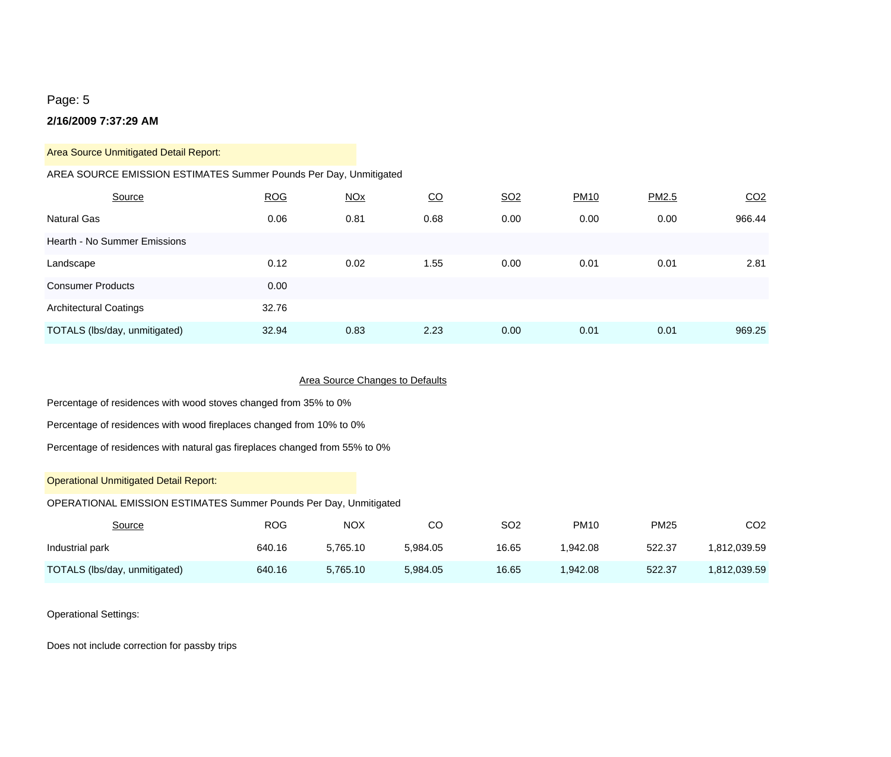#### **2/16/2009 7:37:29 AM**

#### Area Source Unmitigated Detail Report:

#### AREA SOURCE EMISSION ESTIMATES Summer Pounds Per Day, Unmitigated

| Source                        | <b>ROG</b> | <b>NOx</b> | <u>CO</u> | SO <sub>2</sub> | <b>PM10</b> | PM2.5 | CO <sub>2</sub> |
|-------------------------------|------------|------------|-----------|-----------------|-------------|-------|-----------------|
| <b>Natural Gas</b>            | 0.06       | 0.81       | 0.68      | 0.00            | 0.00        | 0.00  | 966.44          |
| Hearth - No Summer Emissions  |            |            |           |                 |             |       |                 |
| Landscape                     | 0.12       | 0.02       | 1.55      | 0.00            | 0.01        | 0.01  | 2.81            |
| <b>Consumer Products</b>      | 0.00       |            |           |                 |             |       |                 |
| <b>Architectural Coatings</b> | 32.76      |            |           |                 |             |       |                 |
| TOTALS (lbs/day, unmitigated) | 32.94      | 0.83       | 2.23      | 0.00            | 0.01        | 0.01  | 969.25          |

#### Area Source Changes to Defaults

Percentage of residences with wood stoves changed from 35% to 0%

Percentage of residences with wood fireplaces changed from 10% to 0%

Percentage of residences with natural gas fireplaces changed from 55% to 0%

#### Operational Unmitigated Detail Report:

#### OPERATIONAL EMISSION ESTIMATES Summer Pounds Per Day, Unmitigated

| Source                        | ROG    | <b>NOX</b> | CО       | SO <sub>2</sub> | <b>PM10</b> | <b>PM25</b> | CO2          |
|-------------------------------|--------|------------|----------|-----------------|-------------|-------------|--------------|
| Industrial park               | 640.16 | 5.765.10   | 5.984.05 | 16.65           | .942.08     | 522.37      | 1.812.039.59 |
| TOTALS (lbs/day, unmitigated) | 640.16 | 5.765.10   | 5.984.05 | 16.65           | .942.08     | 522.37      | 1,812,039.59 |

#### Operational Settings:

Does not include correction for passby trips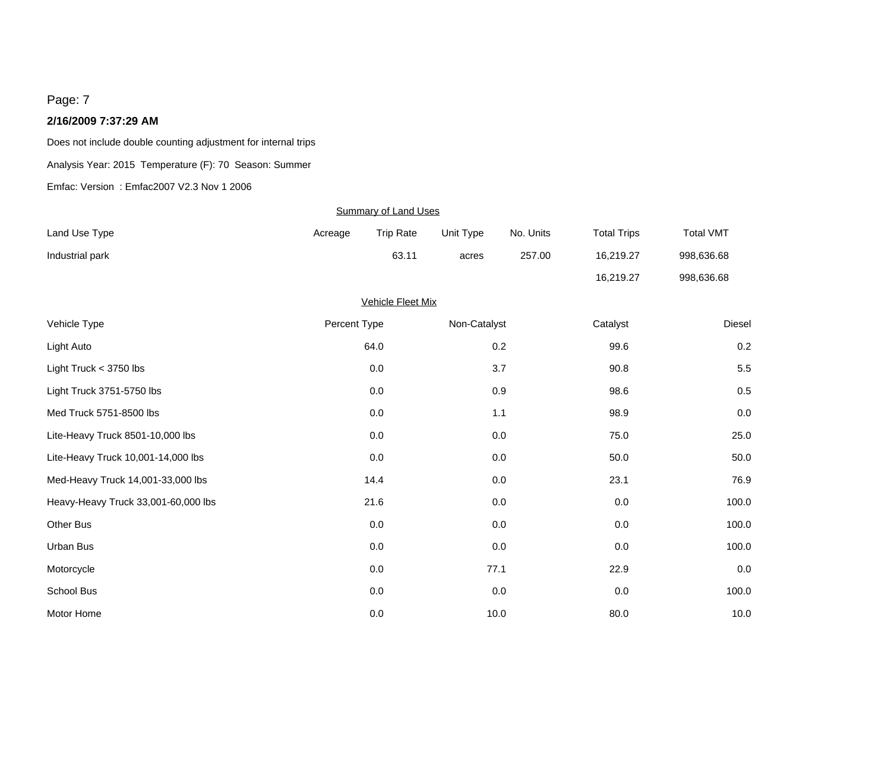#### **2/16/2009 7:37:29 AM**

Does not include double counting adjustment for internal trips

Analysis Year: 2015 Temperature (F): 70 Season: Summer

Emfac: Version : Emfac2007 V2.3 Nov 1 2006

|                                     |              | <b>Summary of Land Uses</b> |              |           |                    |                  |
|-------------------------------------|--------------|-----------------------------|--------------|-----------|--------------------|------------------|
| Land Use Type                       | Acreage      | <b>Trip Rate</b>            | Unit Type    | No. Units | <b>Total Trips</b> | <b>Total VMT</b> |
| Industrial park                     |              | 63.11                       | acres        | 257.00    | 16,219.27          | 998,636.68       |
|                                     |              |                             |              |           | 16,219.27          | 998,636.68       |
|                                     |              | <b>Vehicle Fleet Mix</b>    |              |           |                    |                  |
| Vehicle Type                        | Percent Type |                             | Non-Catalyst |           | Catalyst           | <b>Diesel</b>    |
| Light Auto                          |              | 64.0                        |              | 0.2       | 99.6               | 0.2              |
| Light Truck $<$ 3750 lbs            |              | 0.0                         |              | 3.7       | 90.8               | 5.5              |
| Light Truck 3751-5750 lbs           |              | $0.0\,$                     |              | $0.9\,$   | 98.6               | 0.5              |
| Med Truck 5751-8500 lbs             |              | 0.0                         |              | 1.1       | 98.9               | 0.0              |
| Lite-Heavy Truck 8501-10,000 lbs    |              | 0.0                         |              | 0.0       | 75.0               | 25.0             |
| Lite-Heavy Truck 10,001-14,000 lbs  |              | $0.0\,$                     |              | $0.0\,$   | 50.0               | 50.0             |
| Med-Heavy Truck 14,001-33,000 lbs   |              | 14.4                        |              | 0.0       | 23.1               | 76.9             |
| Heavy-Heavy Truck 33,001-60,000 lbs |              | 21.6                        |              | $0.0\,$   | 0.0                | 100.0            |
| Other Bus                           |              | $0.0\,$                     |              | $0.0\,$   | 0.0                | 100.0            |
| Urban Bus                           |              | 0.0                         |              | 0.0       | 0.0                | 100.0            |
| Motorcycle                          |              | 0.0                         | 77.1         |           | 22.9               | 0.0              |
| School Bus                          |              | $0.0\,$                     |              | 0.0       | 0.0                | 100.0            |
| Motor Home                          |              | 0.0                         | 10.0         |           | 80.0               | 10.0             |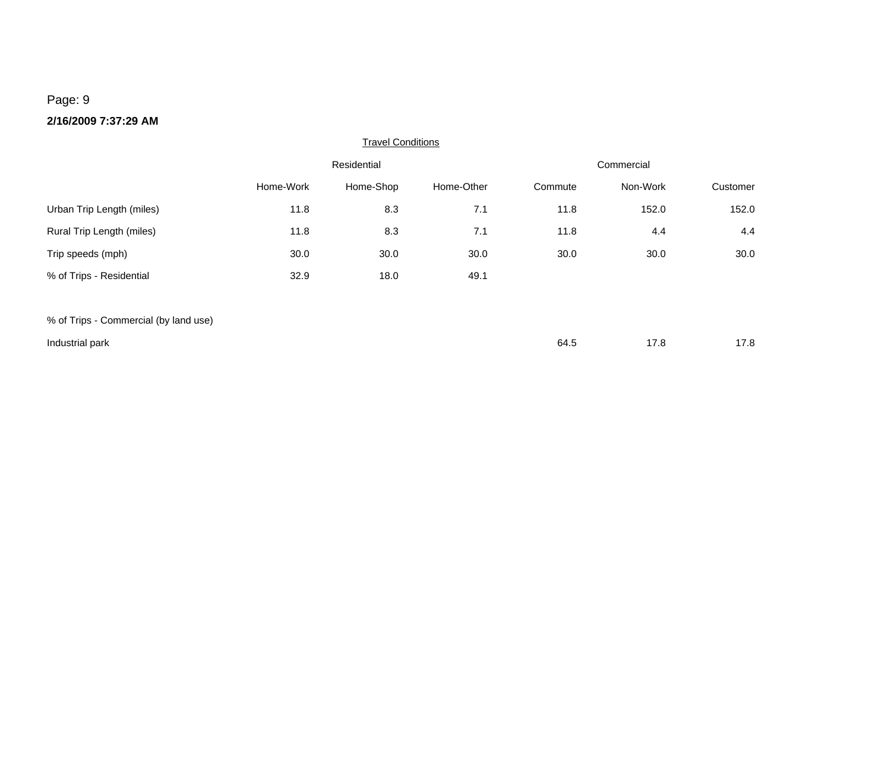|                                       |           | <b>Travel Conditions</b> |            |            |          |          |  |
|---------------------------------------|-----------|--------------------------|------------|------------|----------|----------|--|
|                                       |           | Residential              |            | Commercial |          |          |  |
|                                       | Home-Work | Home-Shop                | Home-Other | Commute    | Non-Work | Customer |  |
| Urban Trip Length (miles)             | 11.8      | 8.3                      | 7.1        | 11.8       | 152.0    | 152.0    |  |
| Rural Trip Length (miles)             | 11.8      | 8.3                      | 7.1        | 11.8       | 4.4      | 4.4      |  |
| Trip speeds (mph)                     | 30.0      | 30.0                     | 30.0       | 30.0       | 30.0     | 30.0     |  |
| % of Trips - Residential              | 32.9      | 18.0                     | 49.1       |            |          |          |  |
|                                       |           |                          |            |            |          |          |  |
| % of Trips - Commercial (by land use) |           |                          |            |            |          |          |  |

| Industrial park | 64.5 | $\sim$ $\sim$<br>. | 17.8 |
|-----------------|------|--------------------|------|
|                 |      |                    |      |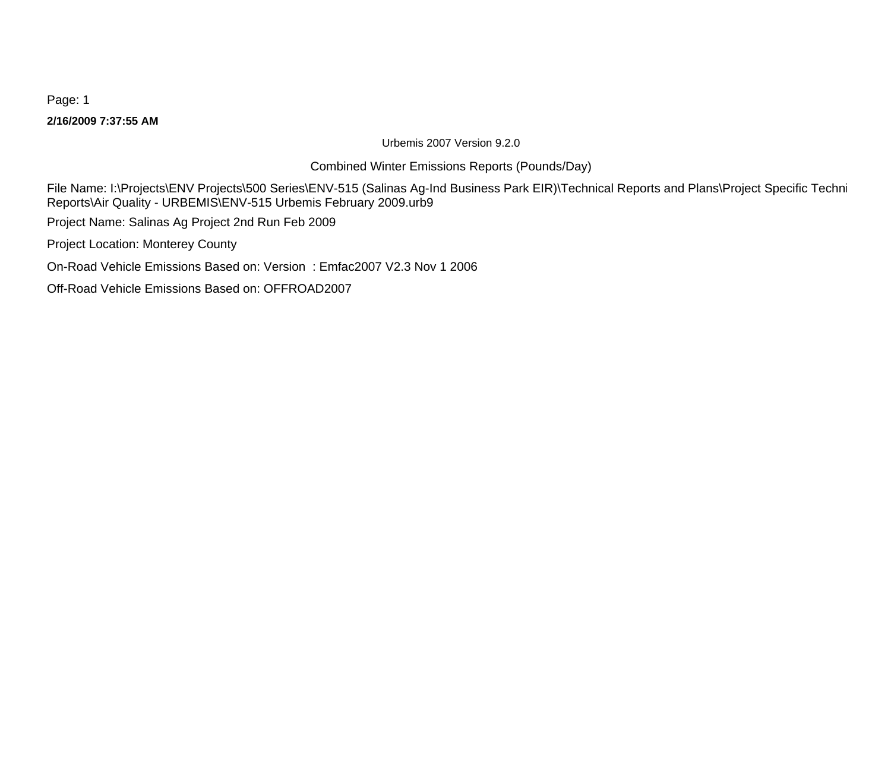**2/16/2009 7:37:55 AM**

Urbemis 2007 Version 9.2.0

Combined Winter Emissions Reports (Pounds/Day)

File Name: I:\Projects\ENV Projects\500 Series\ENV-515 (Salinas Ag-Ind Business Park EIR)\Technical Reports and Plans\Project Specific Techni Reports\Air Quality - URBEMIS\ENV-515 Urbemis February 2009.urb9

Project Name: Salinas Ag Project 2nd Run Feb 2009

Project Location: Monterey County

On-Road Vehicle Emissions Based on: Version : Emfac2007 V2.3 Nov 1 2006

Off-Road Vehicle Emissions Based on: OFFROAD2007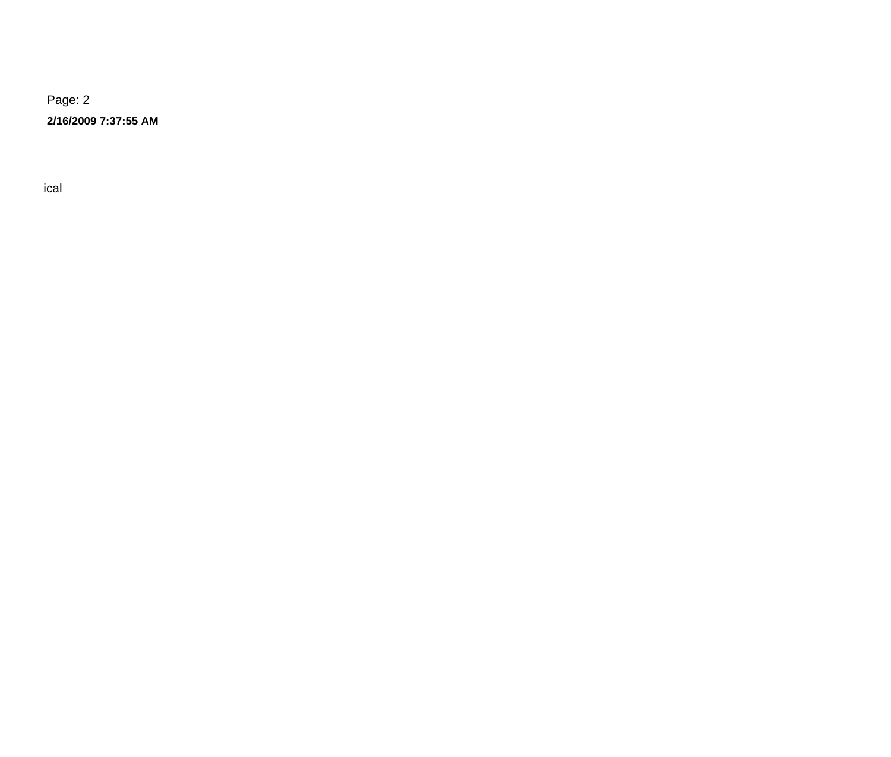**2/16/2009 7:37:55 AM**

 $\Gamma$  -  $\Gamma$  ical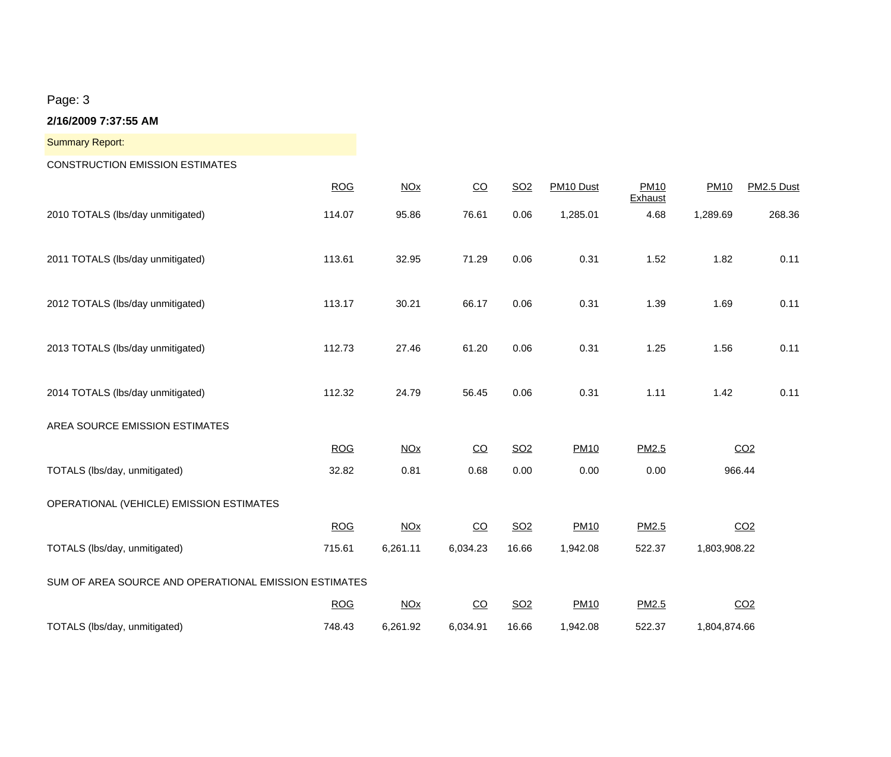| <b>Summary Report:</b>                                |            |                       |                 |                 |             |                        |              |                 |
|-------------------------------------------------------|------------|-----------------------|-----------------|-----------------|-------------|------------------------|--------------|-----------------|
| <b>CONSTRUCTION EMISSION ESTIMATES</b>                |            |                       |                 |                 |             |                        |              |                 |
|                                                       | <b>ROG</b> | <b>NOx</b>            | CO              | SO <sub>2</sub> | PM10 Dust   | <b>PM10</b><br>Exhaust | <b>PM10</b>  | PM2.5 Dust      |
| 2010 TOTALS (lbs/day unmitigated)                     | 114.07     | 95.86                 | 76.61           | 0.06            | 1,285.01    | 4.68                   | 1,289.69     | 268.36          |
| 2011 TOTALS (lbs/day unmitigated)                     | 113.61     | 32.95                 | 71.29           | 0.06            | 0.31        | 1.52                   | 1.82         | 0.11            |
| 2012 TOTALS (lbs/day unmitigated)                     | 113.17     | 30.21                 | 66.17           | 0.06            | 0.31        | 1.39                   | 1.69         | 0.11            |
| 2013 TOTALS (lbs/day unmitigated)                     | 112.73     | 27.46                 | 61.20           | 0.06            | 0.31        | 1.25                   | 1.56         | 0.11            |
| 2014 TOTALS (lbs/day unmitigated)                     | 112.32     | 24.79                 | 56.45           | 0.06            | 0.31        | 1.11                   | 1.42         | 0.11            |
| AREA SOURCE EMISSION ESTIMATES                        |            |                       |                 |                 |             |                        |              |                 |
|                                                       | <b>ROG</b> | <u>NOx</u>            | $\overline{c}$  | SO <sub>2</sub> | <b>PM10</b> | PM2.5                  |              | CO <sub>2</sub> |
| TOTALS (Ibs/day, unmitigated)                         | 32.82      | 0.81                  | 0.68            | 0.00            | 0.00        | 0.00                   | 966.44       |                 |
| OPERATIONAL (VEHICLE) EMISSION ESTIMATES              |            |                       |                 |                 |             |                        |              |                 |
|                                                       | <b>ROG</b> | <b>NOx</b>            | $\overline{CO}$ | SO <sub>2</sub> | <b>PM10</b> | PM2.5                  |              | CO <sub>2</sub> |
| TOTALS (Ibs/day, unmitigated)                         | 715.61     | 6,261.11              | 6,034.23        | 16.66           | 1,942.08    | 522.37                 | 1,803,908.22 |                 |
| SUM OF AREA SOURCE AND OPERATIONAL EMISSION ESTIMATES |            |                       |                 |                 |             |                        |              |                 |
|                                                       | <b>ROG</b> | <b>NO<sub>X</sub></b> | $\overline{CO}$ | SO <sub>2</sub> | <b>PM10</b> | PM2.5                  |              | CO <sub>2</sub> |
| TOTALS (lbs/day, unmitigated)                         | 748.43     | 6,261.92              | 6,034.91        | 16.66           | 1,942.08    | 522.37                 | 1,804,874.66 |                 |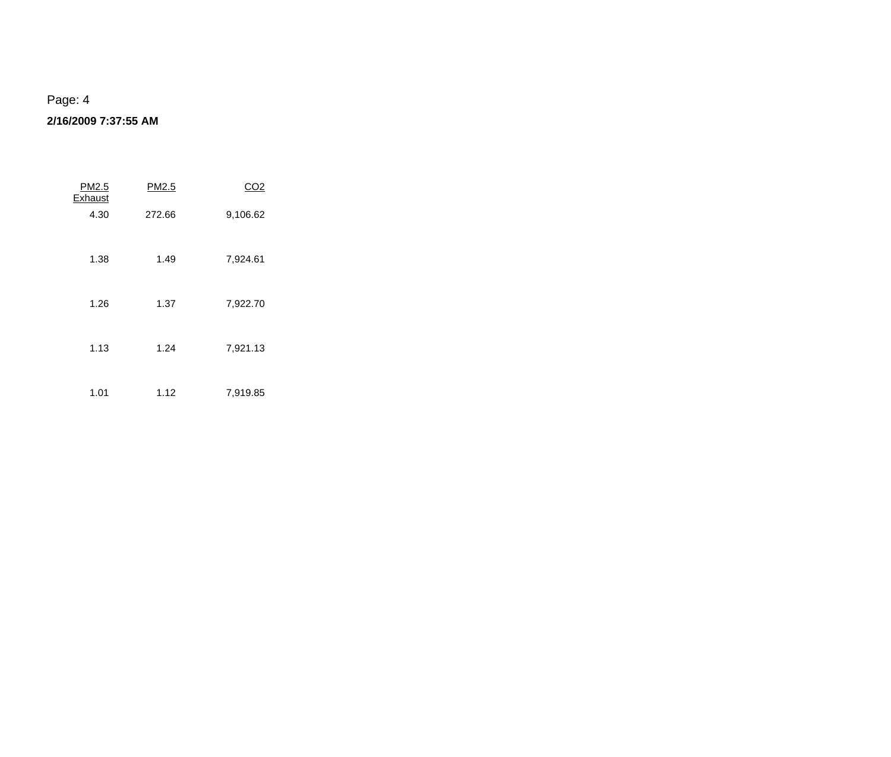| PM2.5<br>Exhaust | PM2.5  | CO2      |
|------------------|--------|----------|
| 4.30             | 272.66 | 9,106.62 |
| 1.38             | 1.49   | 7,924.61 |
| 1.26             | 1.37   | 7,922.70 |
| 1.13             | 1.24   | 7,921.13 |
| 1.01             | 1.12   | 7,919.85 |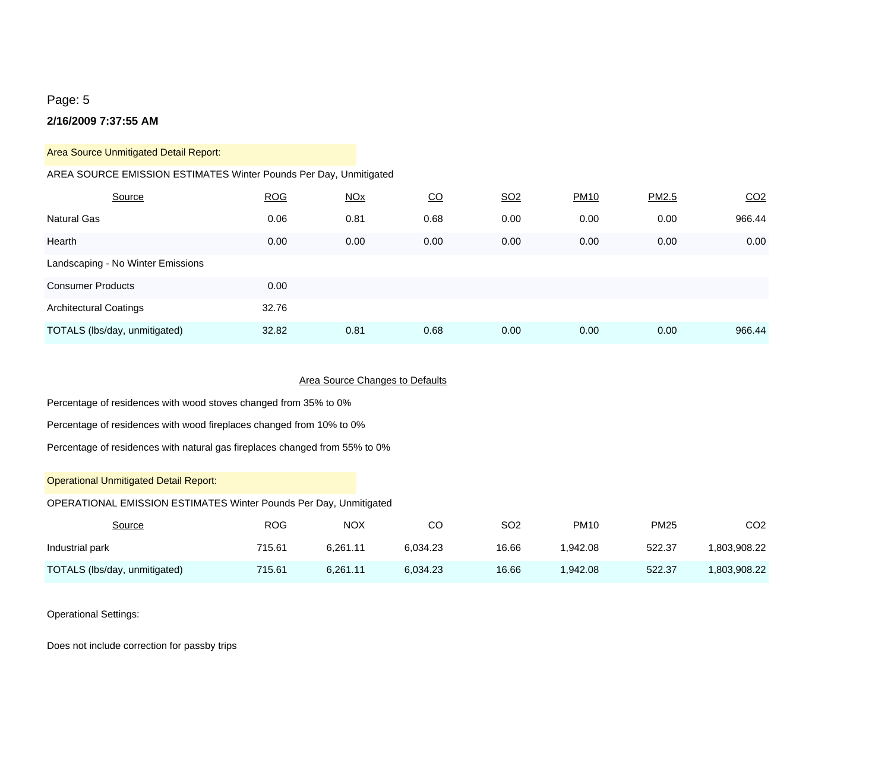#### **2/16/2009 7:37:55 AM**

Area Source Unmitigated Detail Report:

#### AREA SOURCE EMISSION ESTIMATES Winter Pounds Per Day, Unmitigated

| Source                            | <b>ROG</b> | <u>NOx</u> | <u>CO</u> | SO <sub>2</sub> | <b>PM10</b> | PM2.5 | CO <sub>2</sub> |
|-----------------------------------|------------|------------|-----------|-----------------|-------------|-------|-----------------|
| <b>Natural Gas</b>                | 0.06       | 0.81       | 0.68      | 0.00            | 0.00        | 0.00  | 966.44          |
| Hearth                            | 0.00       | 0.00       | 0.00      | 0.00            | 0.00        | 0.00  | 0.00            |
| Landscaping - No Winter Emissions |            |            |           |                 |             |       |                 |
| <b>Consumer Products</b>          | 0.00       |            |           |                 |             |       |                 |
| <b>Architectural Coatings</b>     | 32.76      |            |           |                 |             |       |                 |
| TOTALS (lbs/day, unmitigated)     | 32.82      | 0.81       | 0.68      | 0.00            | 0.00        | 0.00  | 966.44          |

#### Area Source Changes to Defaults

Percentage of residences with wood stoves changed from 35% to 0%

Percentage of residences with wood fireplaces changed from 10% to 0%

Percentage of residences with natural gas fireplaces changed from 55% to 0%

#### Operational Unmitigated Detail Report:

#### OPERATIONAL EMISSION ESTIMATES Winter Pounds Per Day, Unmitigated

| <u>Source</u>                 | ROG    | <b>NOX</b> | CО       | SO <sub>2</sub> | <b>PM10</b> | <b>PM25</b> | CO2          |
|-------------------------------|--------|------------|----------|-----------------|-------------|-------------|--------------|
| Industrial park               | 715.61 | 6.261.11   | 6.034.23 | 16.66           | .942.08     | 522.37      | 1.803.908.22 |
| TOTALS (lbs/day, unmitigated) | 715.61 | 6.261.11   | 6.034.23 | 16.66           | .942.08     | 522.37      | 1,803,908.22 |

#### Operational Settings:

Does not include correction for passby trips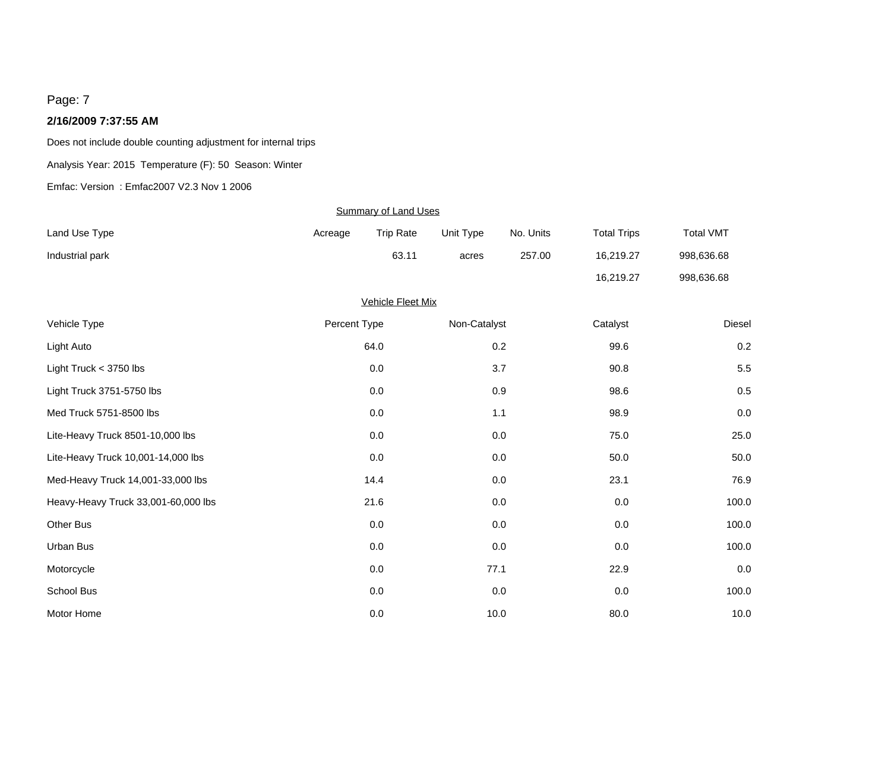#### **2/16/2009 7:37:55 AM**

Does not include double counting adjustment for internal trips

Analysis Year: 2015 Temperature (F): 50 Season: Winter

Emfac: Version : Emfac2007 V2.3 Nov 1 2006

| <b>Summary of Land Uses</b>         |              |                          |              |           |                    |                  |  |
|-------------------------------------|--------------|--------------------------|--------------|-----------|--------------------|------------------|--|
| Land Use Type                       | Acreage      | <b>Trip Rate</b>         | Unit Type    | No. Units | <b>Total Trips</b> | <b>Total VMT</b> |  |
| Industrial park                     |              | 63.11                    | acres        | 257.00    | 16,219.27          | 998,636.68       |  |
|                                     |              |                          |              |           | 16,219.27          | 998,636.68       |  |
|                                     |              | <b>Vehicle Fleet Mix</b> |              |           |                    |                  |  |
| Vehicle Type                        | Percent Type |                          | Non-Catalyst |           | Catalyst           | <b>Diesel</b>    |  |
| Light Auto                          |              | 64.0                     |              | 0.2       | 99.6               | 0.2              |  |
| Light Truck $<$ 3750 lbs            |              | 0.0                      |              | 3.7       | 90.8               | 5.5              |  |
| Light Truck 3751-5750 lbs           |              | $0.0\,$                  |              | $0.9\,$   | 98.6               | 0.5              |  |
| Med Truck 5751-8500 lbs             |              | 0.0                      |              | 1.1       | 98.9               | 0.0              |  |
| Lite-Heavy Truck 8501-10,000 lbs    |              | 0.0                      |              | 0.0       | 75.0               | 25.0             |  |
| Lite-Heavy Truck 10,001-14,000 lbs  |              | $0.0\,$                  |              | $0.0\,$   | 50.0               | 50.0             |  |
| Med-Heavy Truck 14,001-33,000 lbs   |              | 14.4                     |              | 0.0       | 23.1               | 76.9             |  |
| Heavy-Heavy Truck 33,001-60,000 lbs |              | 21.6                     |              | $0.0\,$   | 0.0                | 100.0            |  |
| Other Bus                           |              | $0.0\,$                  |              | 0.0       | 0.0                | 100.0            |  |
| Urban Bus                           |              | 0.0                      |              | 0.0       | 0.0                | 100.0            |  |
| Motorcycle                          |              | 0.0                      | 77.1         |           | 22.9               | 0.0              |  |
| School Bus                          |              | $0.0\,$                  |              | 0.0       | 0.0                | 100.0            |  |
| Motor Home                          |              | 0.0                      | 10.0         |           | 80.0               | 10.0             |  |